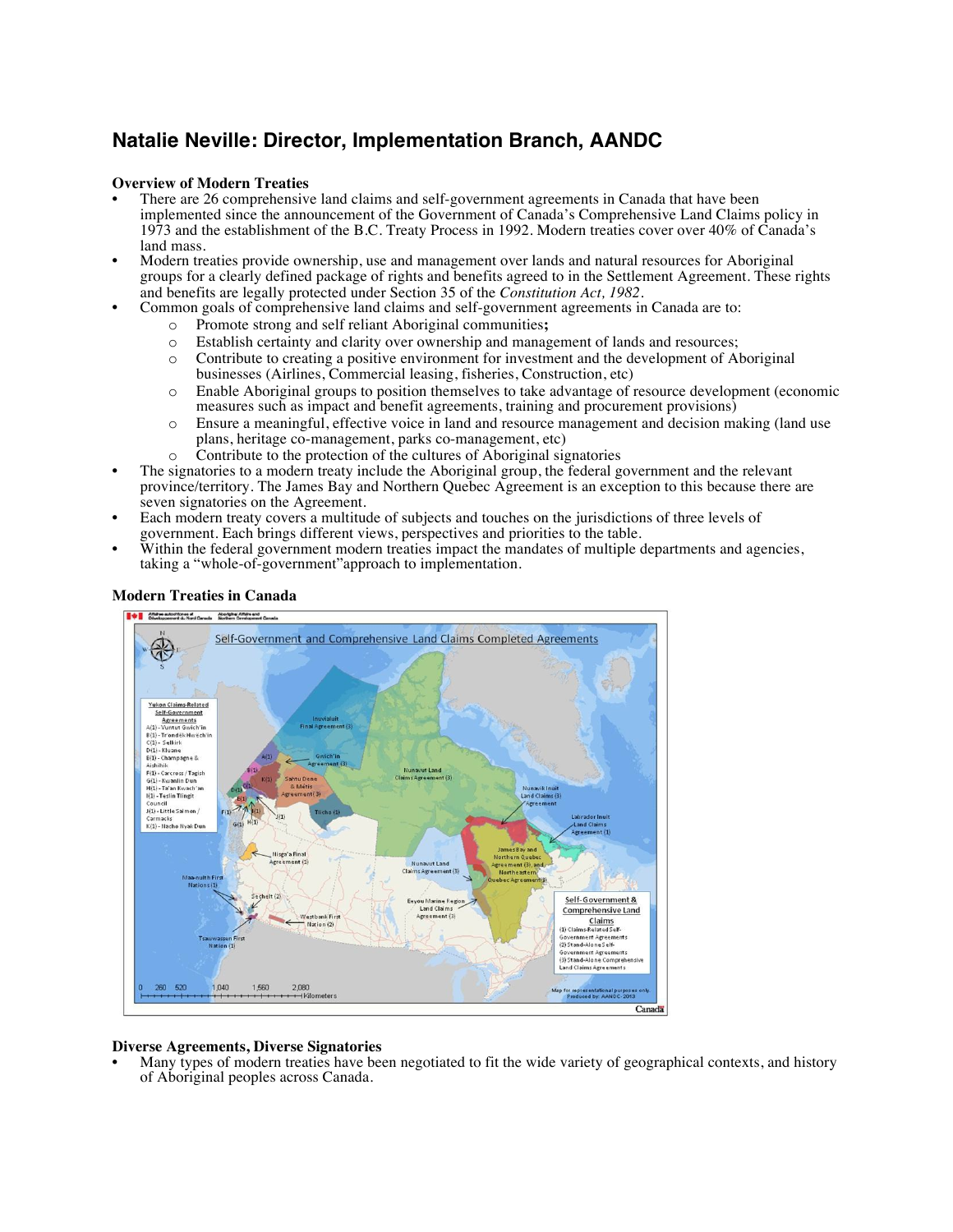# **Natalie Neville: Director, Implementation Branch, AANDC**

### **Overview of Modern Treaties**

- There are 26 comprehensive land claims and self-government agreements in Canada that have been implemented since the announcement of the Government of Canada's Comprehensive Land Claims policy in 1973 and the establishment of the B.C. Treaty Process in 1992. Modern treaties cover over 40% of Canada's land mass.
- Modern treaties provide ownership, use and management over lands and natural resources for Aboriginal groups for a clearly defined package of rights and benefits agreed to in the Settlement Agreement. These rights and benefits are legally protected under Section 35 of the *Constitution Act*, 1982.
	- Common goals of comprehensive land claims and self-government agreements in Canada are to:
		- o Promote strong and self reliant Aboriginal communities**;**
		- o Establish certainty and clarity over ownership and management of lands and resources;
		- o Contribute to creating a positive environment for investment and the development of Aboriginal businesses (Airlines, Commercial leasing, fisheries, Construction, etc)
		- o Enable Aboriginal groups to position themselves to take advantage of resource development (economic measures such as impact and benefit agreements, training and procurement provisions)
		- o Ensure a meaningful, effective voice in land and resource management and decision making (land use plans, heritage co-management, parks co-management, etc)
		-
- <sup>o</sup> Contribute to the protection of the cultures of Aboriginal signatories The signatories to a modern treaty include the Aboriginal group, the federal government and the relevant province/territory. The James Bay and Northern Quebec Agreement is an exception to this because there are
- Each modern treaty covers a multitude of subjects and touches on the jurisdictions of three levels of government. Each brings different views, perspectives and priorities to the table.
- Within the federal government modern treaties impact the mandates of multiple departments and agencies, taking a "whole-of-government"approach to implementation.



### **Modern Treaties in Canada**

## **Diverse Agreements, Diverse Signatories**

• Many types of modern treaties have been negotiated to fit the wide variety of geographical contexts, and history of Aboriginal peoples across Canada.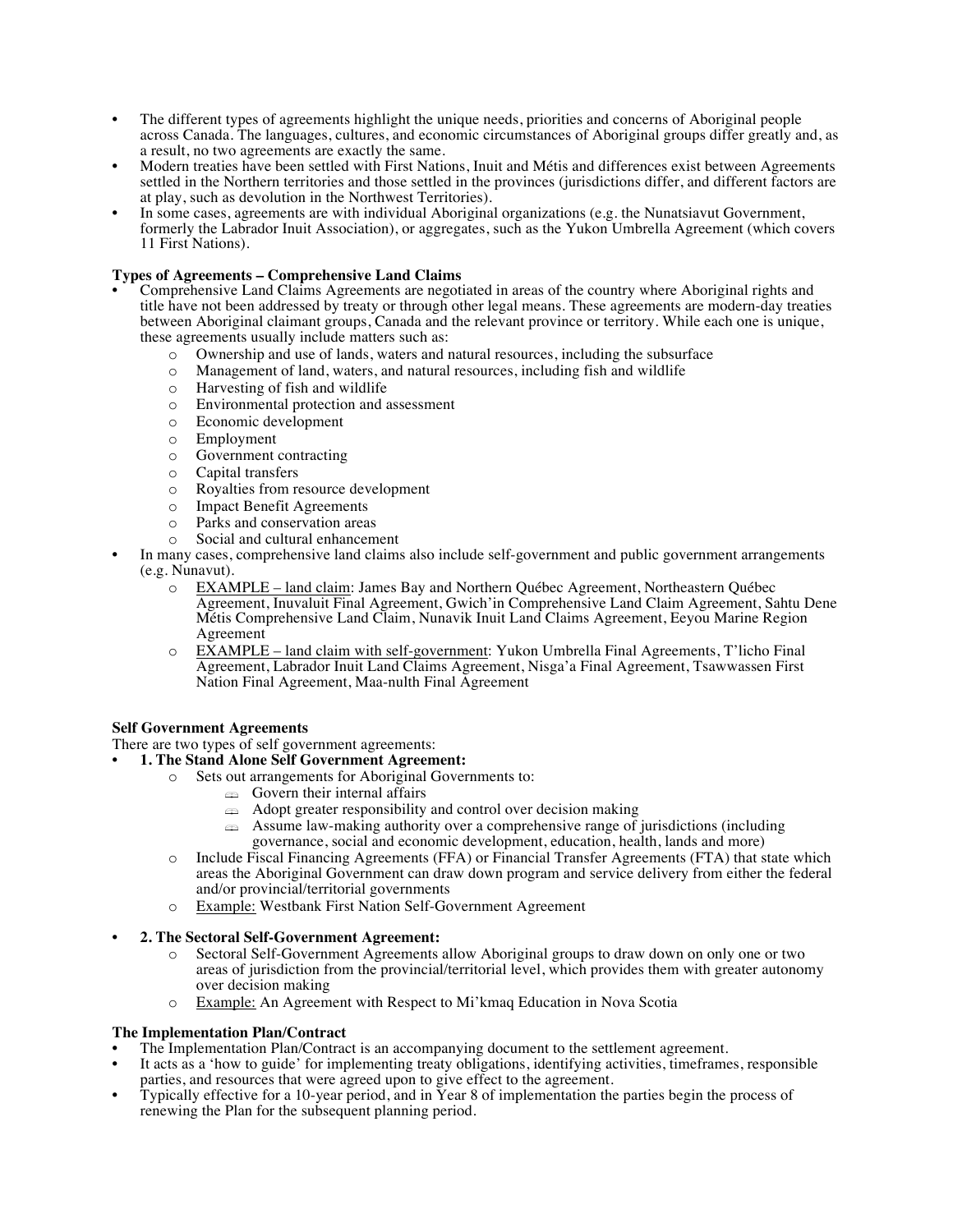- The different types of agreements highlight the unique needs, priorities and concerns of Aboriginal people across Canada. The languages, cultures, and economic circumstances of Aboriginal groups differ greatly and, as a result, no two agreements are exactly the same.
- Modern treaties have been settled with First Nations, Inuit and Métis and differences exist between Agreements settled in the Northern territories and those settled in the provinces (jurisdictions differ, and different factors are at play, such as devolution in the Northwest Territories).
- In some cases, agreements are with individual Aboriginal organizations (e.g. the Nunatsiavut Government, formerly the Labrador Inuit Association), or aggregates, such as the Yukon Umbrella Agreement (which covers 11 First Nations).

## **Types of Agreements – Comprehensive Land Claims**

- Comprehensive Land Claims Agreements are negotiated in areas of the country where Aboriginal rights and title have not been addressed by treaty or through other legal means. These agreements are modern-day treaties between Aboriginal claimant groups, Canada and the relevant province or territory. While each one is unique, these agreements usually include matters such as:
	- o Ownership and use of lands, waters and natural resources, including the subsurface
	- o Management of land, waters, and natural resources, including fish and wildlife
	- o Harvesting of fish and wildlife
	- o Environmental protection and assessment
	- o Economic development
	- o Employment
	- o Government contracting
	- o Capital transfers
	- o Royalties from resource development
	- o Impact Benefit Agreements
	- o Parks and conservation areas
	-
- <sup>o</sup> Social and cultural enhancement In many cases, comprehensive land claims also include self-government and public government arrangements (e.g. Nunavut).
	- o EXAMPLE land claim: James Bay and Northern Québec Agreement, Northeastern Québec Agreement, Inuvaluit Final Agreement, Gwich'in Comprehensive Land Claim Agreement, Sahtu Dene Métis Comprehensive Land Claim, Nunavik Inuit Land Claims Agreement, Eeyou Marine Region Agreement
	- o EXAMPLE land claim with self-government: Yukon Umbrella Final Agreements, T'licho Final Agreement, Labrador Inuit Land Claims Agreement, Nisga'a Final Agreement, Tsawwassen First Nation Final Agreement, Maa-nulth Final Agreement

## **Self Government Agreements**

- There are two types of self government agreements:
- **1. The Stand Alone Self Government Agreement:**
	- o Sets out arrangements for Aboriginal Governments to:
		- $\triangle$  Govern their internal affairs
		- $\triangleq$  Adopt greater responsibility and control over decision making
		- $\approx$  Assume law-making authority over a comprehensive range of jurisdictions (including governance, social and economic development, education, health, lands and more)
	- o Include Fiscal Financing Agreements (FFA) or Financial Transfer Agreements (FTA) that state which areas the Aboriginal Government can draw down program and service delivery from either the federal and/or provincial/territorial governments
	- o Example: Westbank First Nation Self-Government Agreement
- **2. The Sectoral Self-Government Agreement:**
	- o Sectoral Self-Government Agreements allow Aboriginal groups to draw down on only one or two areas of jurisdiction from the provincial/territorial level, which provides them with greater autonomy over decision making
	- o Example: An Agreement with Respect to Mi'kmaq Education in Nova Scotia

#### **The Implementation Plan/Contract**

- The Implementation Plan/Contract is an accompanying document to the settlement agreement.
- It acts as a 'how to guide' for implementing treaty obligations, identifying activities, timeframes, responsible parties, and resources that were agreed upon to give effect to the agreement.
- Typically effective for a 10-year period, and in Year 8 of implementation the parties begin the process of renewing the Plan for the subsequent planning period.